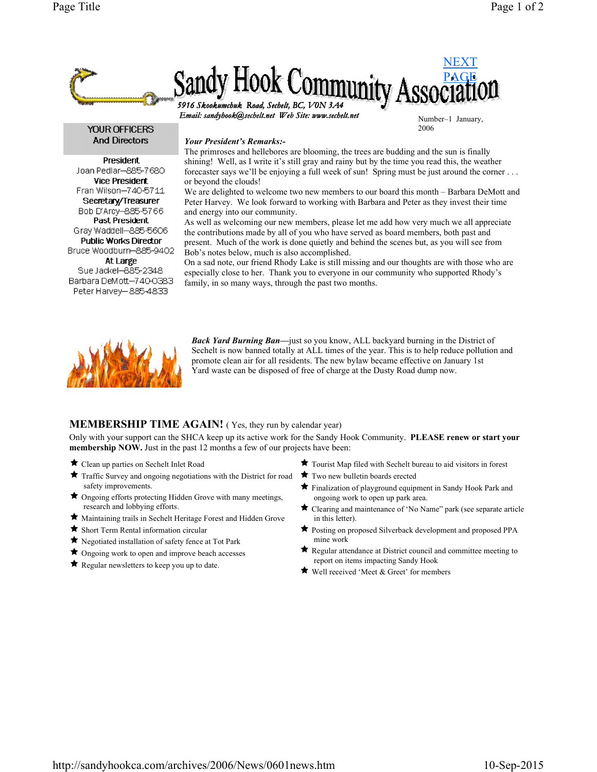

**YOUR OFFICERS And Directors** 

President Joan Pediar-885-7680 **Vice President** Fran Wilson-740-5711 Secretary/Treasurer Bob D'Arcy-885-5766 Past President Gray Waddell-885-5606 **Public Works Director** Bruce Woodburn-885-9402 At Large Sue Jackel-885-2348 Barbara DeMott-740-0383 Peter Harvey-885-4833

## Your President's Remarks:-

The primroses and hellebores are blooming, the trees are budding and the sun is finally shining! Well, as I write it's still gray and rainy but by the time you read this, the weather forecaster says we'll be enjoying a full week of sun! Spring must be just around the corner . . . or beyond the clouds!

2006

We are delighted to welcome two new members to our board this month – Barbara DeMott and Peter Harvey. We look forward to working with Barbara and Peter as they invest their time and energy into our community.

As well as welcoming our new members, please let me add how very much we all appreciate the contributions made by all of you who have served as board members, both past and present. Much of the work is done quietly and behind the scenes but, as you will see from Bob's notes below, much is also accomplished.

On a sad note, our friend Rhody Lake is still missing and our thoughts are with those who are especially close to her. Thank you to everyone in our community who supported Rhody's family, in so many ways, through the past two months.



**Back Yard Burning Ban—just so you know, ALL backyard burning in the District of** Sechelt is now banned totally at ALL times of the year. This is to help reduce pollution and promote clean air for all residents. The new bylaw became effective on January 1st Yard waste can be disposed of free of charge at the Dusty Road dump now.

## **MEMBERSHIP TIME AGAIN!** (Yes, they run by calendar year)

Only with your support can the SHCA keep up its active work for the Sandy Hook Community. PLEASE renew or start your membership NOW. Just in the past 12 months a few of our projects have been:

- Clean up parties on Sechelt Inlet Road
- $\star$  Traffic Survey and ongoing negotiations with the District for road safety improvements.
- $\bigstar$  Ongoing efforts protecting Hidden Grove with many meetings, research and lobbying efforts.
- Maintaining trails in Sechelt Heritage Forest and Hidden Grove
- Short Term Rental information circular
- Negotiated installation of safety fence at Tot Park
- $\bigstar$  Ongoing work to open and improve beach accesses
- $\bigstar$  Regular newsletters to keep you up to date.
- Tourist Map filed with Sechelt bureau to aid visitors in forest
- Two new bulletin boards erected
- Finalization of playground equipment in Sandy Hook Park and ongoing work to open up park area.
- Clearing and maintenance of 'No Name" park (see separate article in this letter).
- Posting on proposed Silverback development and proposed PPA mine work
- Regular attendance at District council and committee meeting to report on items impacting Sandy Hook
- $\star$  Well received 'Meet & Greet' for members